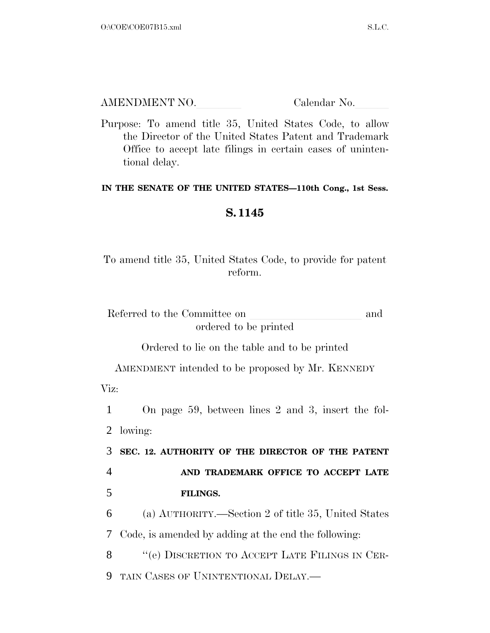AMENDMENT NO. Calendar No.

Purpose: To amend title 35, United States Code, to allow the Director of the United States Patent and Trademark Office to accept late filings in certain cases of unintentional delay.

## **IN THE SENATE OF THE UNITED STATES—110th Cong., 1st Sess.**

## **S. 1145**

To amend title 35, United States Code, to provide for patent reform.

Referred to the Committee on learning and ordered to be printed

Ordered to lie on the table and to be printed

AMENDMENT intended to be proposed by Mr. KENNEDY

Viz:

1 On page 59, between lines 2 and 3, insert the fol-2 lowing:

3 **SEC. 12. AUTHORITY OF THE DIRECTOR OF THE PATENT** 

## 4 **AND TRADEMARK OFFICE TO ACCEPT LATE**  5 **FILINGS.**

6 (a) AUTHORITY.—Section 2 of title 35, United States 7 Code, is amended by adding at the end the following:

8 "(e) DISCRETION TO ACCEPT LATE FILINGS IN CER-9 TAIN CASES OF UNINTENTIONAL DELAY.—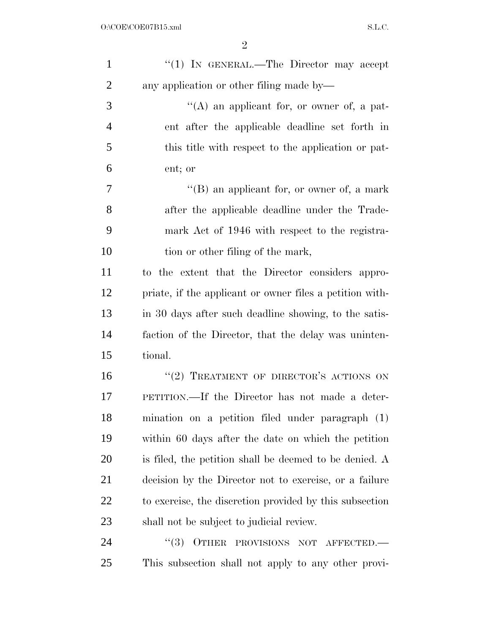| $\mathbf{1}$   | "(1) IN GENERAL.—The Director may accept                 |
|----------------|----------------------------------------------------------|
| $\overline{2}$ | any application or other filing made by—                 |
| 3              | $\lq\lq$ an applicant for, or owner of, a pat-           |
| $\overline{4}$ | ent after the applicable deadline set forth in           |
| 5              | this title with respect to the application or pat-       |
| 6              | ent; or                                                  |
| 7              | $\lq\lq (B)$ an applicant for, or owner of, a mark       |
| 8              | after the applicable deadline under the Trade-           |
| 9              | mark Act of 1946 with respect to the registra-           |
| 10             | tion or other filing of the mark,                        |
| 11             | to the extent that the Director considers appro-         |
| 12             | priate, if the applicant or owner files a petition with- |
| 13             | in 30 days after such deadline showing, to the satis-    |
| 14             | faction of the Director, that the delay was uninten-     |
| 15             | tional.                                                  |
| 16             | "(2) TREATMENT OF DIRECTOR'S ACTIONS ON                  |
| 17             | PETITION.—If the Director has not made a deter-          |
| 18             | mination on a petition filed under paragraph (1)         |
| 19             | within 60 days after the date on which the petition      |
| 20             | is filed, the petition shall be deemed to be denied. A   |
| 21             | decision by the Director not to exercise, or a failure   |
| <u>22</u>      | to exercise, the discretion provided by this subsection  |
| 23             | shall not be subject to judicial review.                 |
| 24             | OTHER PROVISIONS NOT<br>(3)<br>AFFECTED.-                |
| 25             | This subsection shall not apply to any other provi-      |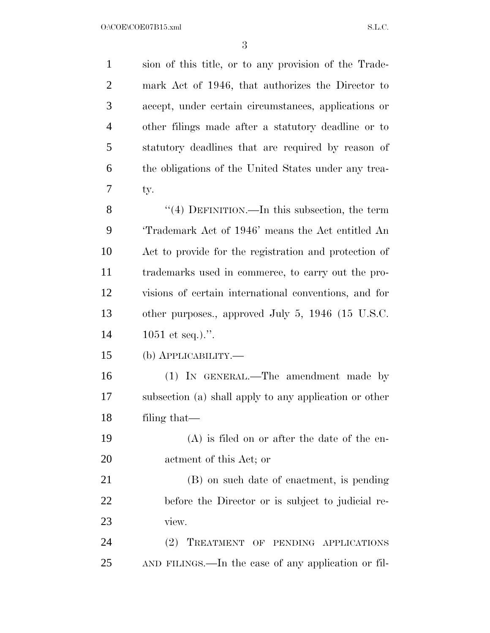| $\mathbf{1}$   | sion of this title, or to any provision of the Trade-  |
|----------------|--------------------------------------------------------|
| $\overline{2}$ | mark Act of 1946, that authorizes the Director to      |
|                |                                                        |
| 3              | accept, under certain circumstances, applications or   |
| $\overline{4}$ | other filings made after a statutory deadline or to    |
| 5              | statutory deadlines that are required by reason of     |
| 6              | the obligations of the United States under any trea-   |
| 7              | ty.                                                    |
| 8              | "(4) DEFINITION.—In this subsection, the term          |
| 9              | 'Trademark Act of 1946' means the Act entitled An      |
| 10             | Act to provide for the registration and protection of  |
| 11             | trademarks used in commerce, to carry out the pro-     |
| 12             | visions of certain international conventions, and for  |
| 13             | other purposes., approved July 5, 1946 (15 U.S.C.      |
| 14             | 1051 et seq.).".                                       |
| 15             | (b) <b>АРР</b> ЫСАВШТҮ.—                               |
| 16             | (1) IN GENERAL.—The amendment made by                  |
| 17             | subsection (a) shall apply to any application or other |
| 18             | filing that—                                           |
| 19             | $(A)$ is filed on or after the date of the en-         |
| 20             | actment of this Act; or                                |
| 21             | (B) on such date of enactment, is pending              |
| 22             | before the Director or is subject to judicial re-      |
| 23             | view.                                                  |
| 24             | (2) TREATMENT OF PENDING APPLICATIONS                  |
| 25             | AND FILINGS.—In the case of any application or fil-    |